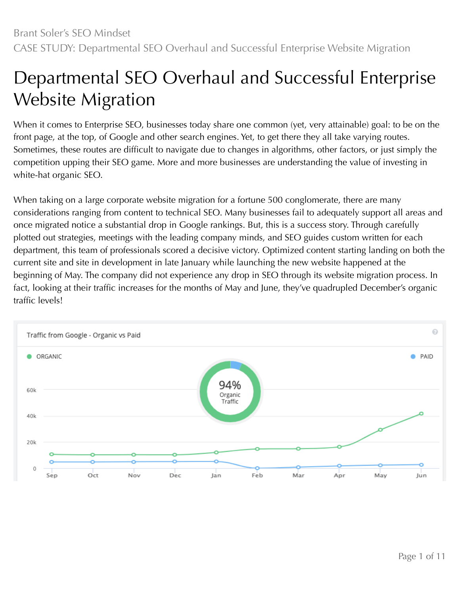# Departmental SEO Overhaul and Successful Enterprise Website Migration

When it comes to Enterprise SEO, businesses today share one common (yet, very attainable) goal: to be on the front page, at the top, of Google and other search engines. Yet, to get there they all take varying routes. Sometimes, these routes are difficult to navigate due to changes in algorithms, other factors, or just simply the competition upping their SEO game. More and more businesses are understanding the value of investing in white-hat organic SEO.

When taking on a large corporate website migration for a fortune 500 conglomerate, there are many considerations ranging from content to technical SEO. Many businesses fail to adequately support all areas and once migrated notice a substantial drop in Google rankings. But, this is a success story. Through carefully plotted out strategies, meetings with the leading company minds, and SEO guides custom written for each department, this team of professionals scored a decisive victory. Optimized content starting landing on both the current site and site in development in late January while launching the new website happened at the beginning of May. The company did not experience any drop in SEO through its website migration process. In fact, looking at their traffic increases for the months of May and June, they've quadrupled December's organic traffic levels!

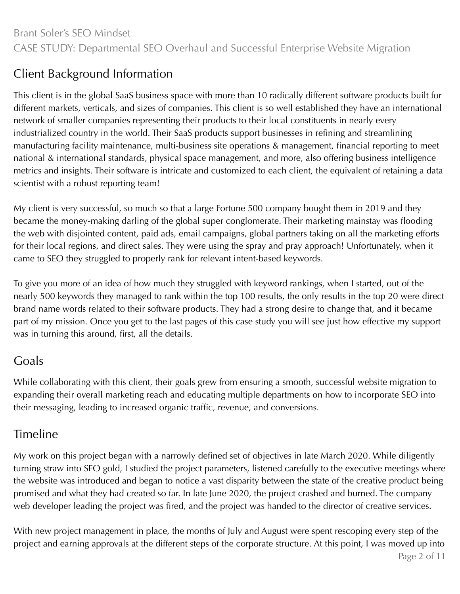## Client Background Information

This client is in the global SaaS business space with more than 10 radically different software products built for different markets, verticals, and sizes of companies. This client is so well established they have an international network of smaller companies representing their products to their local constituents in nearly every industrialized country in the world. Their SaaS products support businesses in refining and streamlining manufacturing facility maintenance, multi-business site operations & management, financial reporting to meet national & international standards, physical space management, and more, also offering business intelligence metrics and insights. Their software is intricate and customized to each client, the equivalent of retaining a data scientist with a robust reporting team!

My client is very successful, so much so that a large Fortune 500 company bought them in 2019 and they became the money-making darling of the global super conglomerate. Their marketing mainstay was flooding the web with disjointed content, paid ads, email campaigns, global partners taking on all the marketing efforts for their local regions, and direct sales. They were using the spray and pray approach! Unfortunately, when it came to SEO they struggled to properly rank for relevant intent-based keywords.

To give you more of an idea of how much they struggled with keyword rankings, when I started, out of the nearly 500 keywords they managed to rank within the top 100 results, the only results in the top 20 were direct brand name words related to their software products. They had a strong desire to change that, and it became part of my mission. Once you get to the last pages of this case study you will see just how effective my support was in turning this around, first, all the details.

## Goals

While collaborating with this client, their goals grew from ensuring a smooth, successful website migration to expanding their overall marketing reach and educating multiple departments on how to incorporate SEO into their messaging, leading to increased organic traffic, revenue, and conversions.

## Timeline

My work on this project began with a narrowly defined set of objectives in late March 2020. While diligently turning straw into SEO gold, I studied the project parameters, listened carefully to the executive meetings where the website was introduced and began to notice a vast disparity between the state of the creative product being promised and what they had created so far. In late June 2020, the project crashed and burned. The company web developer leading the project was fired, and the project was handed to the director of creative services.

With new project management in place, the months of July and August were spent rescoping every step of the project and earning approvals at the different steps of the corporate structure. At this point, I was moved up into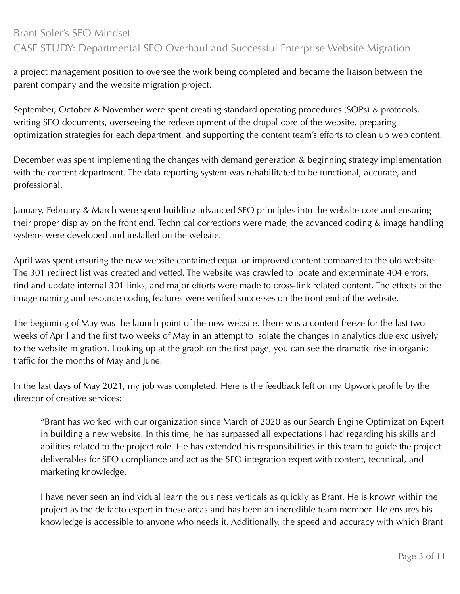a project management position to oversee the work being completed and became the liaison between the parent company and the website migration project.

September, October & November were spent creating standard operating procedures (SOPs) & protocols, writing SEO documents, overseeing the redevelopment of the drupal core of the website, preparing optimization strategies for each department, and supporting the content team's efforts to clean up web content.

December was spent implementing the changes with demand generation & beginning strategy implementation with the content department. The data reporting system was rehabilitated to be functional, accurate, and professional.

January, February & March were spent building advanced SEO principles into the website core and ensuring their proper display on the front end. Technical corrections were made, the advanced coding & image handling systems were developed and installed on the website.

April was spent ensuring the new website contained equal or improved content compared to the old website. The 301 redirect list was created and vetted. The website was crawled to locate and exterminate 404 errors, find and update internal 301 links, and major efforts were made to cross-link related content. The effects of the image naming and resource coding features were verified successes on the front end of the website.

The beginning of May was the launch point of the new website. There was a content freeze for the last two weeks of April and the first two weeks of May in an attempt to isolate the changes in analytics due exclusively to the website migration. Looking up at the graph on the first page, you can see the dramatic rise in organic traffic for the months of May and June.

In the last days of May 2021, my job was completed. Here is the feedback left on my Upwork profile by the director of creative services:

"Brant has worked with our organization since March of 2020 as our Search Engine Optimization Expert in building a new website. In this time, he has surpassed all expectations I had regarding his skills and abilities related to the project role. He has extended his responsibilities in this team to guide the project deliverables for SEO compliance and act as the SEO integration expert with content, technical, and marketing knowledge.

I have never seen an individual learn the business verticals as quickly as Brant. He is known within the project as the de facto expert in these areas and has been an incredible team member. He ensures his knowledge is accessible to anyone who needs it. Additionally, the speed and accuracy with which Brant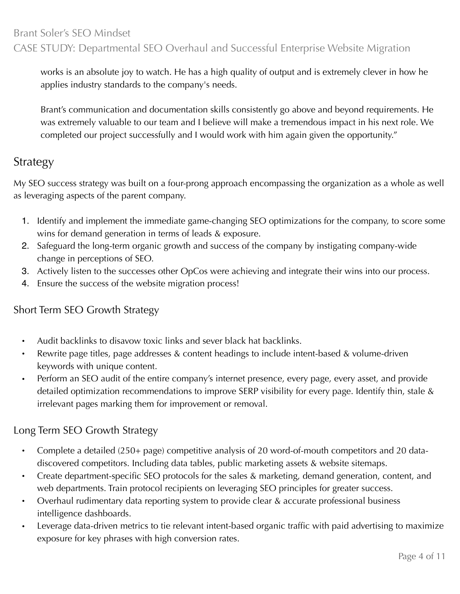works is an absolute joy to watch. He has a high quality of output and is extremely clever in how he applies industry standards to the company's needs.

Brant's communication and documentation skills consistently go above and beyond requirements. He was extremely valuable to our team and I believe will make a tremendous impact in his next role. We completed our project successfully and I would work with him again given the opportunity."

## Strategy

My SEO success strategy was built on a four-prong approach encompassing the organization as a whole as well as leveraging aspects of the parent company.

- 1. Identify and implement the immediate game-changing SEO optimizations for the company, to score some wins for demand generation in terms of leads & exposure.
- 2. Safeguard the long-term organic growth and success of the company by instigating company-wide change in perceptions of SEO.
- 3. Actively listen to the successes other OpCos were achieving and integrate their wins into our process.
- 4. Ensure the success of the website migration process!

#### Short Term SEO Growth Strategy

- Audit backlinks to disavow toxic links and sever black hat backlinks.
- Rewrite page titles, page addresses & content headings to include intent-based & volume-driven keywords with unique content.
- Perform an SEO audit of the entire company's internet presence, every page, every asset, and provide detailed optimization recommendations to improve SERP visibility for every page. Identify thin, stale & irrelevant pages marking them for improvement or removal.

## Long Term SEO Growth Strategy

- Complete a detailed (250+ page) competitive analysis of 20 word-of-mouth competitors and 20 datadiscovered competitors. Including data tables, public marketing assets & website sitemaps.
- Create department-specific SEO protocols for the sales & marketing, demand generation, content, and web departments. Train protocol recipients on leveraging SEO principles for greater success.
- Overhaul rudimentary data reporting system to provide clear & accurate professional business intelligence dashboards.
- Leverage data-driven metrics to tie relevant intent-based organic traffic with paid advertising to maximize exposure for key phrases with high conversion rates.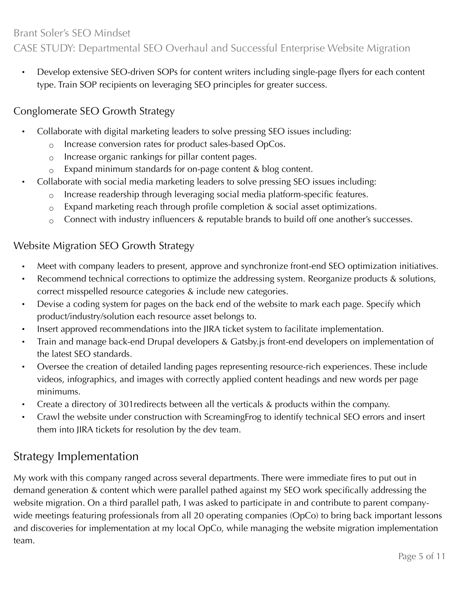• Develop extensive SEO-driven SOPs for content writers including single-page flyers for each content type. Train SOP recipients on leveraging SEO principles for greater success.

## Conglomerate SEO Growth Strategy

- Collaborate with digital marketing leaders to solve pressing SEO issues including:
	- Increase conversion rates for product sales-based OpCos.
	- Increase organic rankings for pillar content pages.
	- $\circ$  Expand minimum standards for on-page content & blog content.
- Collaborate with social media marketing leaders to solve pressing SEO issues including:
	- $\circ$  Increase readership through leveraging social media platform-specific features.
	- $\circ$  Expand marketing reach through profile completion & social asset optimizations.
	- $\circ$  Connect with industry influencers & reputable brands to build off one another's successes.

### Website Migration SEO Growth Strategy

- Meet with company leaders to present, approve and synchronize front-end SEO optimization initiatives.
- Recommend technical corrections to optimize the addressing system. Reorganize products & solutions, correct misspelled resource categories & include new categories.
- Devise a coding system for pages on the back end of the website to mark each page. Specify which product/industry/solution each resource asset belongs to.
- Insert approved recommendations into the JIRA ticket system to facilitate implementation.
- Train and manage back-end Drupal developers & Gatsby.js front-end developers on implementation of the latest SEO standards.
- Oversee the creation of detailed landing pages representing resource-rich experiences. These include videos, infographics, and images with correctly applied content headings and new words per page minimums.
- Create a directory of 301redirects between all the verticals & products within the company.
- Crawl the website under construction with ScreamingFrog to identify technical SEO errors and insert them into JIRA tickets for resolution by the dev team.

## Strategy Implementation

My work with this company ranged across several departments. There were immediate fires to put out in demand generation & content which were parallel pathed against my SEO work specifically addressing the website migration. On a third parallel path, I was asked to participate in and contribute to parent companywide meetings featuring professionals from all 20 operating companies (OpCo) to bring back important lessons and discoveries for implementation at my local OpCo, while managing the website migration implementation team.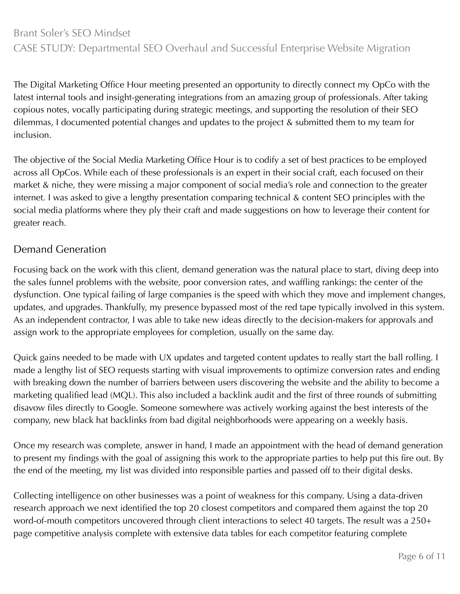The Digital Marketing Office Hour meeting presented an opportunity to directly connect my OpCo with the latest internal tools and insight-generating integrations from an amazing group of professionals. After taking copious notes, vocally participating during strategic meetings, and supporting the resolution of their SEO dilemmas, I documented potential changes and updates to the project & submitted them to my team for inclusion.

The objective of the Social Media Marketing Office Hour is to codify a set of best practices to be employed across all OpCos. While each of these professionals is an expert in their social craft, each focused on their market & niche, they were missing a major component of social media's role and connection to the greater internet. I was asked to give a lengthy presentation comparing technical & content SEO principles with the social media platforms where they ply their craft and made suggestions on how to leverage their content for greater reach.

#### Demand Generation

Focusing back on the work with this client, demand generation was the natural place to start, diving deep into the sales funnel problems with the website, poor conversion rates, and waffling rankings: the center of the dysfunction. One typical failing of large companies is the speed with which they move and implement changes, updates, and upgrades. Thankfully, my presence bypassed most of the red tape typically involved in this system. As an independent contractor, I was able to take new ideas directly to the decision-makers for approvals and assign work to the appropriate employees for completion, usually on the same day.

Quick gains needed to be made with UX updates and targeted content updates to really start the ball rolling. I made a lengthy list of SEO requests starting with visual improvements to optimize conversion rates and ending with breaking down the number of barriers between users discovering the website and the ability to become a marketing qualified lead (MQL). This also included a backlink audit and the first of three rounds of submitting disavow files directly to Google. Someone somewhere was actively working against the best interests of the company, new black hat backlinks from bad digital neighborhoods were appearing on a weekly basis.

Once my research was complete, answer in hand, I made an appointment with the head of demand generation to present my findings with the goal of assigning this work to the appropriate parties to help put this fire out. By the end of the meeting, my list was divided into responsible parties and passed off to their digital desks.

Collecting intelligence on other businesses was a point of weakness for this company. Using a data-driven research approach we next identified the top 20 closest competitors and compared them against the top 20 word-of-mouth competitors uncovered through client interactions to select 40 targets. The result was a 250+ page competitive analysis complete with extensive data tables for each competitor featuring complete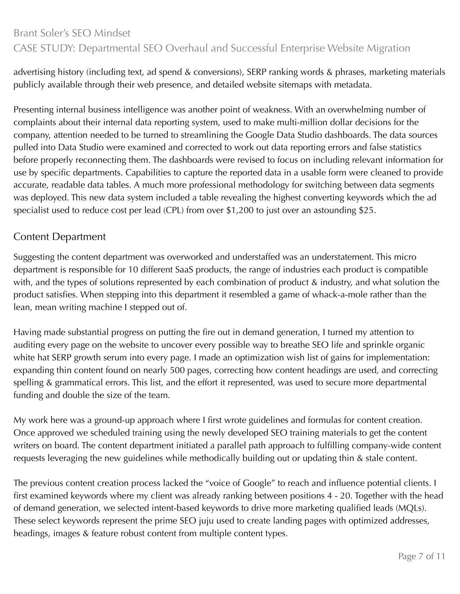advertising history (including text, ad spend & conversions), SERP ranking words & phrases, marketing materials publicly available through their web presence, and detailed website sitemaps with metadata.

Presenting internal business intelligence was another point of weakness. With an overwhelming number of complaints about their internal data reporting system, used to make multi-million dollar decisions for the company, attention needed to be turned to streamlining the Google Data Studio dashboards. The data sources pulled into Data Studio were examined and corrected to work out data reporting errors and false statistics before properly reconnecting them. The dashboards were revised to focus on including relevant information for use by specific departments. Capabilities to capture the reported data in a usable form were cleaned to provide accurate, readable data tables. A much more professional methodology for switching between data segments was deployed. This new data system included a table revealing the highest converting keywords which the ad specialist used to reduce cost per lead (CPL) from over \$1,200 to just over an astounding \$25.

#### Content Department

Suggesting the content department was overworked and understaffed was an understatement. This micro department is responsible for 10 different SaaS products, the range of industries each product is compatible with, and the types of solutions represented by each combination of product & industry, and what solution the product satisfies. When stepping into this department it resembled a game of whack-a-mole rather than the lean, mean writing machine I stepped out of.

Having made substantial progress on putting the fire out in demand generation, I turned my attention to auditing every page on the website to uncover every possible way to breathe SEO life and sprinkle organic white hat SERP growth serum into every page. I made an optimization wish list of gains for implementation: expanding thin content found on nearly 500 pages, correcting how content headings are used, and correcting spelling & grammatical errors. This list, and the effort it represented, was used to secure more departmental funding and double the size of the team.

My work here was a ground-up approach where I first wrote guidelines and formulas for content creation. Once approved we scheduled training using the newly developed SEO training materials to get the content writers on board. The content department initiated a parallel path approach to fulfilling company-wide content requests leveraging the new guidelines while methodically building out or updating thin & stale content.

The previous content creation process lacked the "voice of Google" to reach and influence potential clients. I first examined keywords where my client was already ranking between positions 4 - 20. Together with the head of demand generation, we selected intent-based keywords to drive more marketing qualified leads (MQLs). These select keywords represent the prime SEO juju used to create landing pages with optimized addresses, headings, images & feature robust content from multiple content types.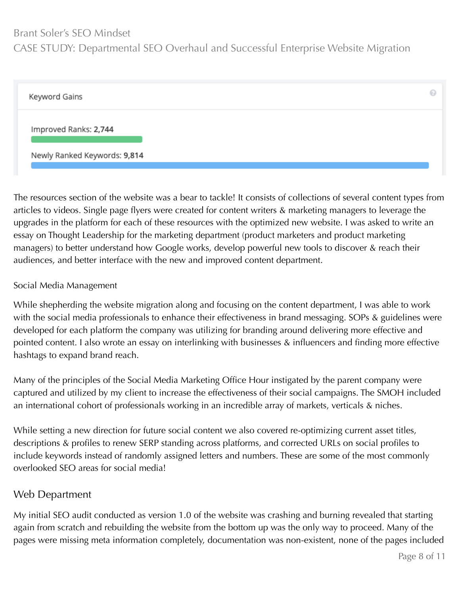#### Brant Soler's SEO Mindset

#### CASE STUDY: Departmental SEO Overhaul and Successful Enterprise Website Migration

| Keyword Gains                | 62 |
|------------------------------|----|
| Improved Ranks: 2,744        |    |
| Newly Ranked Keywords: 9,814 |    |

The resources section of the website was a bear to tackle! It consists of collections of several content types from articles to videos. Single page flyers were created for content writers & marketing managers to leverage the upgrades in the platform for each of these resources with the optimized new website. I was asked to write an essay on Thought Leadership for the marketing department (product marketers and product marketing managers) to better understand how Google works, develop powerful new tools to discover & reach their audiences, and better interface with the new and improved content department.

#### Social Media Management

While shepherding the website migration along and focusing on the content department, I was able to work with the social media professionals to enhance their effectiveness in brand messaging. SOPs & guidelines were developed for each platform the company was utilizing for branding around delivering more effective and pointed content. I also wrote an essay on interlinking with businesses & influencers and finding more effective hashtags to expand brand reach.

Many of the principles of the Social Media Marketing Office Hour instigated by the parent company were captured and utilized by my client to increase the effectiveness of their social campaigns. The SMOH included an international cohort of professionals working in an incredible array of markets, verticals & niches.

While setting a new direction for future social content we also covered re-optimizing current asset titles, descriptions & profiles to renew SERP standing across platforms, and corrected URLs on social profiles to include keywords instead of randomly assigned letters and numbers. These are some of the most commonly overlooked SEO areas for social media!

#### Web Department

My initial SEO audit conducted as version 1.0 of the website was crashing and burning revealed that starting again from scratch and rebuilding the website from the bottom up was the only way to proceed. Many of the pages were missing meta information completely, documentation was non-existent, none of the pages included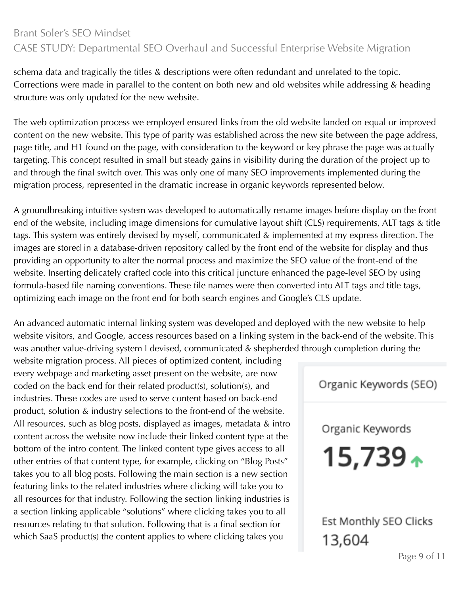schema data and tragically the titles & descriptions were often redundant and unrelated to the topic. Corrections were made in parallel to the content on both new and old websites while addressing & heading structure was only updated for the new website.

The web optimization process we employed ensured links from the old website landed on equal or improved content on the new website. This type of parity was established across the new site between the page address, page title, and H1 found on the page, with consideration to the keyword or key phrase the page was actually targeting. This concept resulted in small but steady gains in visibility during the duration of the project up to and through the final switch over. This was only one of many SEO improvements implemented during the migration process, represented in the dramatic increase in organic keywords represented below.

A groundbreaking intuitive system was developed to automatically rename images before display on the front end of the website, including image dimensions for cumulative layout shift (CLS) requirements, ALT tags & title tags. This system was entirely devised by myself, communicated & implemented at my express direction. The images are stored in a database-driven repository called by the front end of the website for display and thus providing an opportunity to alter the normal process and maximize the SEO value of the front-end of the website. Inserting delicately crafted code into this critical juncture enhanced the page-level SEO by using formula-based file naming conventions. These file names were then converted into ALT tags and title tags, optimizing each image on the front end for both search engines and Google's CLS update.

An advanced automatic internal linking system was developed and deployed with the new website to help website visitors, and Google, access resources based on a linking system in the back-end of the website. This was another value-driving system I devised, communicated & shepherded through completion during the

website migration process. All pieces of optimized content, including every webpage and marketing asset present on the website, are now coded on the back end for their related product(s), solution(s), and industries. These codes are used to serve content based on back-end product, solution & industry selections to the front-end of the website. All resources, such as blog posts, displayed as images, metadata & intro content across the website now include their linked content type at the bottom of the intro content. The linked content type gives access to all other entries of that content type, for example, clicking on "Blog Posts" takes you to all blog posts. Following the main section is a new section featuring links to the related industries where clicking will take you to all resources for that industry. Following the section linking industries is a section linking applicable "solutions" where clicking takes you to all resources relating to that solution. Following that is a final section for which SaaS product(s) the content applies to where clicking takes you

Organic Keywords (SEO)

Organic Keywords

 $15,739+$ 

Est Monthly SEO Clicks 13,604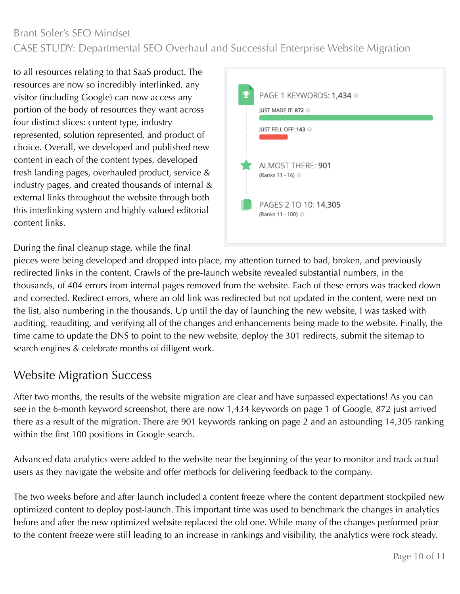to all resources relating to that SaaS product. The resources are now so incredibly interlinked, any visitor (including Google) can now access any portion of the body of resources they want across four distinct slices: content type, industry represented, solution represented, and product of choice. Overall, we developed and published new content in each of the content types, developed fresh landing pages, overhauled product, service & industry pages, and created thousands of internal & external links throughout the website through both this interlinking system and highly valued editorial content links.



During the final cleanup stage, while the final

pieces were being developed and dropped into place, my attention turned to bad, broken, and previously redirected links in the content. Crawls of the pre-launch website revealed substantial numbers, in the thousands, of 404 errors from internal pages removed from the website. Each of these errors was tracked down and corrected. Redirect errors, where an old link was redirected but not updated in the content, were next on the list, also numbering in the thousands. Up until the day of launching the new website, I was tasked with auditing, reauditing, and verifying all of the changes and enhancements being made to the website. Finally, the time came to update the DNS to point to the new website, deploy the 301 redirects, submit the sitemap to search engines & celebrate months of diligent work.

## Website Migration Success

After two months, the results of the website migration are clear and have surpassed expectations! As you can see in the 6-month keyword screenshot, there are now 1,434 keywords on page 1 of Google, 872 just arrived there as a result of the migration. There are 901 keywords ranking on page 2 and an astounding 14,305 ranking within the first 100 positions in Google search.

Advanced data analytics were added to the website near the beginning of the year to monitor and track actual users as they navigate the website and offer methods for delivering feedback to the company.

The two weeks before and after launch included a content freeze where the content department stockpiled new optimized content to deploy post-launch. This important time was used to benchmark the changes in analytics before and after the new optimized website replaced the old one. While many of the changes performed prior to the content freeze were still leading to an increase in rankings and visibility, the analytics were rock steady.